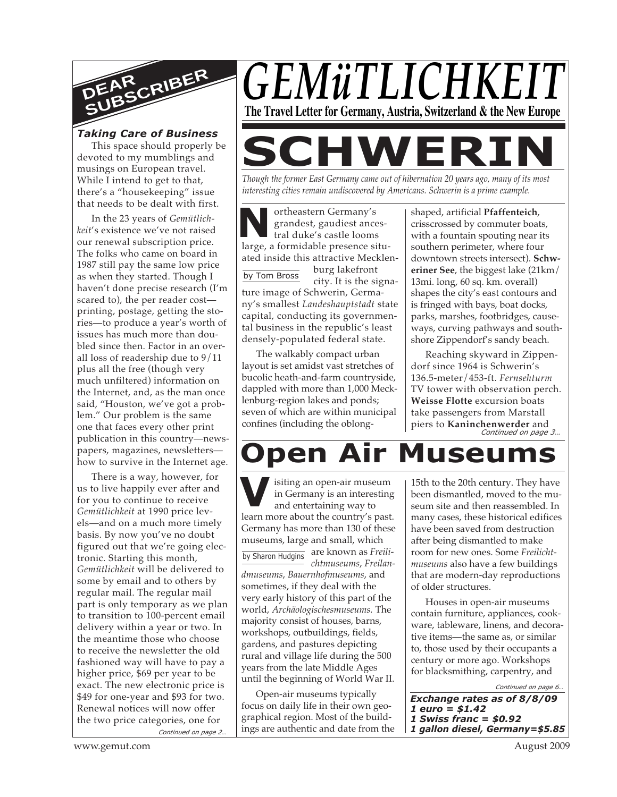

# *Taking Care of Business*

This space should properly be devoted to my mumblings and musings on European travel. While I intend to get to that, there's a "housekeeping" issue that needs to be dealt with first.

In the 23 years of *Gemütlichkeit*'s existence we've not raised our renewal subscription price. The folks who came on board in 1987 still pay the same low price as when they started. Though I haven't done precise research (I'm scared to), the per reader cost printing, postage, getting the stories—to produce a year's worth of issues has much more than doubled since then. Factor in an overall loss of readership due to 9/11 plus all the free (though very much unfiltered) information on the Internet, and, as the man once said, "Houston, we've got a problem." Our problem is the same one that faces every other print publication in this country—newspapers, magazines, newsletters how to survive in the Internet age.

*Continued on page 2…* There is a way, however, for us to live happily ever after and for you to continue to receive *Gemütlichkeit* at 1990 price levels—and on a much more timely basis. By now you've no doubt figured out that we're going electronic. Starting this month, *Gemütlichkeit* will be delivered to some by email and to others by regular mail. The regular mail part is only temporary as we plan to transition to 100-percent email delivery within a year or two. In the meantime those who choose to receive the newsletter the old fashioned way will have to pay a higher price, \$69 per year to be exact. The new electronic price is \$49 for one-year and \$93 for two. Renewal notices will now offer the two price categories, one for



**SCHWERI** *Though the former East Germany came out of hibernation 20 years ago, many of its most*

*interesting cities remain undiscovered by Americans. Schwerin is a prime example.*

**N** large, a formidable presence situortheastern Germany's grandest, gaudiest ancestral duke's castle looms ated inside this attractive Mecklen-

by Tom Bross

burg lakefront city. It is the signa-

ture image of Schwerin, Germany's smallest *Landeshauptstadt* state capital, conducting its governmental business in the republic's least densely-populated federal state.

The walkably compact urban layout is set amidst vast stretches of bucolic heath-and-farm countryside, dappled with more than 1,000 Mecklenburg-region lakes and ponds; seven of which are within municipal confines (including the oblongshaped, artificial **Pfaffenteich**, crisscrossed by commuter boats, with a fountain spouting near its southern perimeter, where four downtown streets intersect). **Schweriner See**, the biggest lake (21km/ 13mi. long, 60 sq. km. overall) shapes the city's east contours and is fringed with bays, boat docks, parks, marshes, footbridges, causeways, curving pathways and southshore Zippendorf's sandy beach.

*Continued on page 3…* Reaching skyward in Zippendorf since 1964 is Schwerin's 136.5-meter/453-ft. *Fernsehturm* TV tower with observation perch. **Weisse Flotte** excursion boats take passengers from Marstall piers to **Kaninchenwerder** and

# **pen Air Museun**

**V** in Germany is an interesting<br>and entertaining way to<br>learn more about the country's past. isiting an open-air museum in Germany is an interesting and entertaining way to Germany has more than 130 of these museums, large and small, which

by Sharon Hudgins are known as *Freilichtmuseums*, *Freilandmuseums*, *Bauernhofmuseums*, and sometimes, if they deal with the very early history of this part of the world, *Archäologischesmuseums.* The majority consist of houses, barns, workshops, outbuildings, fields, gardens, and pastures depicting rural and village life during the 500 years from the late Middle Ages

Open-air museums typically focus on daily life in their own geographical region. Most of the buildings are authentic and date from the

until the beginning of World War II.

15th to the 20th century. They have been dismantled, moved to the museum site and then reassembled. In many cases, these historical edifices have been saved from destruction after being dismantled to make room for new ones. Some *Freilichtmuseums* also have a few buildings that are modern-day reproductions of older structures.

Houses in open-air museums contain furniture, appliances, cookware, tableware, linens, and decorative items—the same as, or similar to, those used by their occupants a century or more ago. Workshops for blacksmithing, carpentry, and

*Continued on page 6…*

*Exchange rates as of 8/8/09 1 euro = \$1.42 1 Swiss franc = \$0.92 1 gallon diesel, Germany=\$5.85*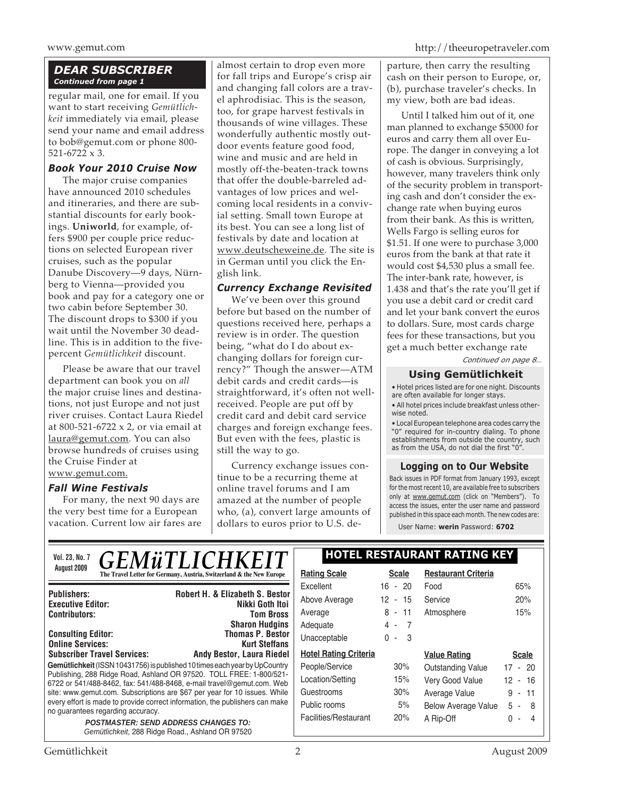# *DEAR SUBSCRIBER Continued from page 1*

regular mail, one for email. If you want to start receiving *Gemütlichkeit* immediately via email, please send your name and email address to bob@gemut.com or phone 800- 521-6722 x 3.

#### *Book Your 2010 Cruise Now*

The major cruise companies have announced 2010 schedules and itineraries, and there are substantial discounts for early bookings. **Uniworld**, for example, offers \$900 per couple price reductions on selected European river cruises, such as the popular Danube Discovery—9 days, Nürnberg to Vienna—provided you book and pay for a category one or two cabin before September 30. The discount drops to \$300 if you wait until the November 30 deadline. This is in addition to the fivepercent *Gemütlichkeit* discount.

Please be aware that our travel department can book you on *all* the major cruise lines and destinations, not just Europe and not just river cruises. Contact Laura Riedel at 800-521-6722 x 2, or via email at laura@gemut.com. You can also browse hundreds of cruises using the Cruise Finder at www.gemut.com.

# *Fall Wine Festivals*

For many, the next 90 days are the very best time for a European vacation. Current low air fares are

almost certain to drop even more for fall trips and Europe's crisp air and changing fall colors are a travel aphrodisiac. This is the season, too, for grape harvest festivals in thousands of wine villages. These wonderfully authentic mostly outdoor events feature good food, wine and music and are held in mostly off-the-beaten-track towns that offer the double-barreled advantages of low prices and welcoming local residents in a convivial setting. Small town Europe at its best. You can see a long list of festivals by date and location at www.deutscheweine.de. The site is in German until you click the English link.

# *Currency Exchange Revisited*

We've been over this ground before but based on the number of questions received here, perhaps a review is in order. The question being, "what do I do about exchanging dollars for foreign currency?" Though the answer—ATM debit cards and credit cards—is straightforward, it's often not wellreceived. People are put off by credit card and debit card service charges and foreign exchange fees. But even with the fees, plastic is still the way to go.

Currency exchange issues continue to be a recurring theme at online travel forums and I am amazed at the number of people who, (a), convert large amounts of dollars to euros prior to U.S. de-

parture, then carry the resulting cash on their person to Europe, or, (b), purchase traveler's checks. In my view, both are bad ideas.

Until I talked him out of it, one man planned to exchange \$5000 for euros and carry them all over Europe. The danger in conveying a lot of cash is obvious. Surprisingly, however, many travelers think only of the security problem in transporting cash and don't consider the exchange rate when buying euros from their bank. As this is written, Wells Fargo is selling euros for \$1.51. If one were to purchase 3,000 euros from the bank at that rate it would cost \$4,530 plus a small fee. The inter-bank rate, however, is 1.438 and that's the rate you'll get if you use a debit card or credit card and let your bank convert the euros to dollars. Sure, most cards charge fees for these transactions, but you get a much better exchange rate

*Continued on page 8…*

# **Using Gemütlichkeit**

• Hotel prices listed are for one night. Discounts are often available for longer stays.

• All hotel prices include breakfast unless otherwise noted.

• Local European telephone area codes carry the "0" required for in-country dialing. To phone establishments from outside the country, such as from the USA, do not dial the first "0".

#### **Logging on to Our Website**

Back issues in PDF format from January 1993, except for the most recent 10, are available free to subscribers only at www.gemut.com (click on "Members"). To access the issues, enter the user name and password published in this space each month. The new codes are:

User Name: **werin** Password: **6702**

| <b>GEMÜTLICHKEIT</b><br><b>Vol. 23, No. 7</b>                                                                                                                                                                                                                                                                                                                                                                                                                                                                                   |                                                                      | <b>HOTEL RESTAURANT RATING KEY</b> |              |                            |              |
|---------------------------------------------------------------------------------------------------------------------------------------------------------------------------------------------------------------------------------------------------------------------------------------------------------------------------------------------------------------------------------------------------------------------------------------------------------------------------------------------------------------------------------|----------------------------------------------------------------------|------------------------------------|--------------|----------------------------|--------------|
| August 2009                                                                                                                                                                                                                                                                                                                                                                                                                                                                                                                     | The Travel Letter for Germany, Austria, Switzerland & the New Europe | <b>Rating Scale</b>                | <b>Scale</b> | <b>Restaurant Criteria</b> |              |
|                                                                                                                                                                                                                                                                                                                                                                                                                                                                                                                                 |                                                                      | Excellent                          | $16 - 20$    | Food                       | 65%          |
| <b>Publishers:</b><br><b>Executive Editor:</b>                                                                                                                                                                                                                                                                                                                                                                                                                                                                                  | <b>Robert H. &amp; Elizabeth S. Bestor</b><br>Nikki Goth Itoi        | Above Average                      | $12 - 15$    | Service                    | 20%          |
| <b>Contributors:</b>                                                                                                                                                                                                                                                                                                                                                                                                                                                                                                            | <b>Tom Bross</b>                                                     | Average                            | $8 - 11$     | Atmosphere                 | 15%          |
|                                                                                                                                                                                                                                                                                                                                                                                                                                                                                                                                 | <b>Sharon Hudgins</b>                                                | Adequate                           | $4 - 7$      |                            |              |
| <b>Consulting Editor:</b><br><b>Online Services:</b>                                                                                                                                                                                                                                                                                                                                                                                                                                                                            | <b>Thomas P. Bestor</b><br><b>Kurt Steffans</b>                      | Unacceptable                       | $0 - 3$      |                            |              |
| <b>Subscriber Travel Services:</b>                                                                                                                                                                                                                                                                                                                                                                                                                                                                                              | Andy Bestor, Laura Riedel                                            | <b>Hotel Rating Criteria</b>       |              | <b>Value Rating</b>        | <b>Scale</b> |
| Gemütlichkeit (ISSN 10431756) is published 10 times each year by UpCountry<br>Publishing, 288 Ridge Road, Ashland OR 97520. TOLL FREE: 1-800/521-<br>6722 or 541/488-8462, fax: 541/488-8468, e-mail travel@gemut.com. Web<br>site: www.gemut.com. Subscriptions are \$67 per year for 10 issues. While<br>every effort is made to provide correct information, the publishers can make<br>no guarantees regarding accuracy.<br><b>POSTMASTER: SEND ADDRESS CHANGES TO:</b><br>Gemütlichkeit, 288 Ridge Road., Ashland OR 97520 |                                                                      | People/Service                     | 30%          | <b>Outstanding Value</b>   | $17 - 20$    |
|                                                                                                                                                                                                                                                                                                                                                                                                                                                                                                                                 |                                                                      | Location/Setting                   | 15%          | Very Good Value            | $12 - 16$    |
|                                                                                                                                                                                                                                                                                                                                                                                                                                                                                                                                 |                                                                      | Guestrooms                         | 30%          | Average Value              | $9 - 11$     |
|                                                                                                                                                                                                                                                                                                                                                                                                                                                                                                                                 |                                                                      | Public rooms                       | 5%           | <b>Below Average Value</b> | $5 - 8$      |
|                                                                                                                                                                                                                                                                                                                                                                                                                                                                                                                                 |                                                                      | Facilities/Restaurant              | 20%          | A Rip-Off                  | $0 - 4$      |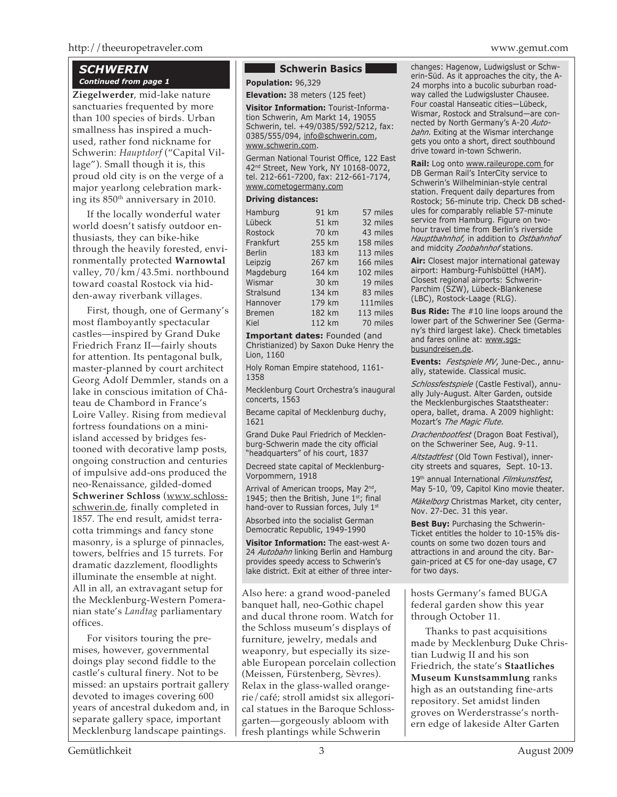#### *SCHWERIN Continued from page 1*

**Ziegelwerder**, mid-lake nature sanctuaries frequented by more than 100 species of birds. Urban smallness has inspired a muchused, rather fond nickname for Schwerin: *Hauptdorf* ("Capital Village"). Small though it is, this proud old city is on the verge of a major yearlong celebration marking its 850th anniversary in 2010.

If the locally wonderful water world doesn't satisfy outdoor enthusiasts, they can bike-hike through the heavily forested, environmentally protected **Warnowtal** valley, 70/km/43.5mi. northbound toward coastal Rostock via hidden-away riverbank villages.

First, though, one of Germany's most flamboyantly spectacular castles—inspired by Grand Duke Friedrich Franz II—fairly shouts for attention. Its pentagonal bulk, master-planned by court architect Georg Adolf Demmler, stands on a lake in conscious imitation of Château de Chambord in France's Loire Valley. Rising from medieval fortress foundations on a miniisland accessed by bridges festooned with decorative lamp posts, ongoing construction and centuries of impulsive add-ons produced the neo-Renaissance, gilded-domed **Schweriner Schloss** (www.schlossschwerin.de, finally completed in 1857. The end result, amidst terracotta trimmings and fancy stone masonry, is a splurge of pinnacles, towers, belfries and 15 turrets. For dramatic dazzlement, floodlights illuminate the ensemble at night. All in all, an extravagant setup for the Mecklenburg-Western Pomeranian state's *Landtag* parliamentary offices.

For visitors touring the premises, however, governmental doings play second fiddle to the castle's cultural finery. Not to be missed: an upstairs portrait gallery devoted to images covering 600 years of ancestral dukedom and, in separate gallery space, important Mecklenburg landscape paintings.

#### **Schwerin Basics**

**Population:** 96,329

**Elevation:** 38 meters (125 feet)

**Visitor Information:** Tourist-Information Schwerin, Am Markt 14, 19055 Schwerin, tel. +49/0385/592/5212, fax: 0385/555/094, info@schwerin.com, www.schwerin.com.

German National Tourist Office, 122 East 42<sup>nd</sup> Street, New York, NY 10168-0072, tel. 212-661-7200, fax: 212-661-7174, www.cometogermany.com

#### **Driving distances:**

| Hamburg       | 91 km  | 57 miles  |
|---------------|--------|-----------|
| Lübeck        | 51 km  | 32 miles  |
| Rostock       | 70 km  | 43 miles  |
| Frankfurt     | 255 km | 158 miles |
| <b>Berlin</b> | 183 km | 113 miles |
| Leipzig       | 267 km | 166 miles |
| Magdeburg     | 164 km | 102 miles |
| Wismar        | 30 km  | 19 miles  |
| Stralsund     | 134 km | 83 miles  |
| Hannover      | 179 km | 111miles  |
| <b>Bremen</b> | 182 km | 113 miles |
| Kiel          | 112 km | 70 miles  |
|               |        |           |

**Important dates:** Founded (and Christianized) by Saxon Duke Henry the Lion, 1160

Holy Roman Empire statehood, 1161- 1358

Mecklenburg Court Orchestra's inaugural concerts, 1563

Became capital of Mecklenburg duchy, 1621

Grand Duke Paul Friedrich of Mecklenburg-Schwerin made the city official "headquarters" of his court, 1837

Decreed state capital of Mecklenburg-Vorpommern, 1918

Arrival of American troops, May 2<sup>nd</sup>, 1945; then the British, June  $1^{st}$ ; final hand-over to Russian forces, July 1st

Absorbed into the socialist German Democratic Republic, 1949-1990

**Visitor Information:** The east-west A-24 *Autobahn* linking Berlin and Hamburg provides speedy access to Schwerin's lake district. Exit at either of three inter-

Also here: a grand wood-paneled banquet hall, neo-Gothic chapel and ducal throne room. Watch for the Schloss museum's displays of furniture, jewelry, medals and weaponry, but especially its sizeable European porcelain collection (Meissen, Fürstenberg, Sèvres). Relax in the glass-walled orangerie/café; stroll amidst six allegorical statues in the Baroque Schlossgarten—gorgeously abloom with fresh plantings while Schwerin

changes: Hagenow, Ludwigslust or Schwerin-Süd. As it approaches the city, the A-24 morphs into a bucolic suburban roadway called the Ludwigsluster Chausee. Four coastal Hanseatic cities—Lübeck, Wismar, Rostock and Stralsund—are connected by North Germany's A-20 *Autobahn*. Exiting at the Wismar interchange gets you onto a short, direct southbound drive toward in-town Schwerin.

**Rail:** Log onto www.raileurope.com for DB German Rail's InterCity service to Schwerin's Wilhelminian-style central station. Frequent daily departures from Rostock; 56-minute trip. Check DB schedules for comparably reliable 57-minute service from Hamburg. Figure on twohour travel time from Berlin's riverside *Hauptbahnhof,* in addition to *Ostbahnhof* and midcity *Zoobahnhof* stations.

**Air:** Closest major international gateway airport: Hamburg-Fuhlsbüttel (HAM). Closest regional airports: Schwerin-Parchim (SZW), Lübeck-Blankenese (LBC), Rostock-Laage (RLG).

**Bus Ride:** The #10 line loops around the lower part of the Schweriner See (Germany's third largest lake). Check timetables and fares online at: www.sgsbusundreisen.de.

**Events:** *Festspiele MV*, June-Dec., annually, statewide. Classical music.

*Schlossfestspiele* (Castle Festival), annually July-August. Alter Garden, outside the Mecklenburgisches Staatstheater: opera, ballet, drama. A 2009 highlight: Mozart's *The Magic Flute*.

*Drachenbootfest* (Dragon Boat Festival), on the Schweriner See, Aug. 9-11.

*Altstadtfest* (Old Town Festival), innercity streets and squares, Sept. 10-13.

19th annual International *Filmkunstfest*, May 5-10, '09, Capitol Kino movie theater.

*Mäkelborg* Christmas Market, city center, Nov. 27-Dec. 31 this year.

**Best Buy: Purchasing the Schwerin-**Ticket entitles the holder to 10-15% discounts on some two dozen tours and attractions in and around the city. Bargain-priced at €5 for one-day usage, €7 for two days.

hosts Germany's famed BUGA federal garden show this year through October 11.

Thanks to past acquisitions made by Mecklenburg Duke Christian Ludwig II and his son Friedrich, the state's **Staatliches Museum Kunstsammlung** ranks high as an outstanding fine-arts repository. Set amidst linden groves on Werderstrasse's northern edge of lakeside Alter Garten

# Gemütlichkeit  $\frac{3}{3}$   $\frac{3}{3}$   $\frac{40}{3}$   $\frac{40}{3}$   $\frac{40}{3}$   $\frac{40}{3}$   $\frac{40}{3}$   $\frac{40}{3}$   $\frac{40}{3}$   $\frac{40}{3}$   $\frac{40}{3}$   $\frac{40}{3}$   $\frac{40}{3}$   $\frac{40}{3}$   $\frac{40}{3}$   $\frac{40}{3}$   $\frac{40}{3}$   $\frac{40}{3}$   $\frac{40}{3}$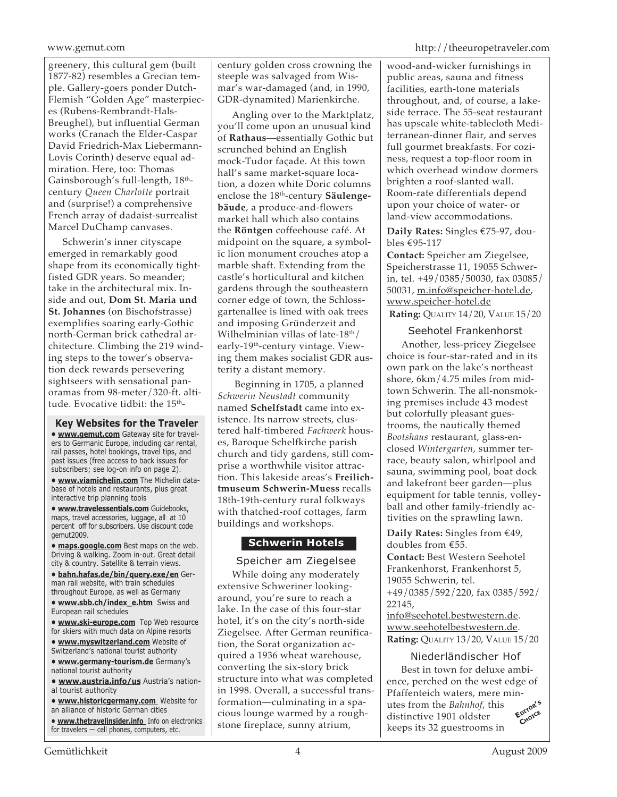greenery, this cultural gem (built 1877-82) resembles a Grecian temple. Gallery-goers ponder Dutch-Flemish "Golden Age" masterpieces (Rubens-Rembrandt-Hals-Breughel), but influential German works (Cranach the Elder-Caspar David Friedrich-Max Liebermann-Lovis Corinth) deserve equal admiration. Here, too: Thomas Gainsborough's full-length,  $18<sup>th</sup>$ century *Queen Charlotte* portrait and (surprise!) a comprehensive French array of dadaist-surrealist Marcel DuChamp canvases.

Schwerin's inner cityscape emerged in remarkably good shape from its economically tightfisted GDR years. So meander; take in the architectural mix. Inside and out, **Dom St. Maria und St. Johannes** (on Bischofstrasse) exemplifies soaring early-Gothic north-German brick cathedral architecture. Climbing the 219 winding steps to the tower's observation deck rewards persevering sightseers with sensational panoramas from 98-meter/320-ft. altitude. Evocative tidbit: the 15<sup>th</sup>-

**Key Websites for the Traveler • www.gemut.com** Gateway site for travelers to Germanic Europe, including car rental, rail passes, hotel bookings, travel tips, and past issues (free access to back issues for subscribers; see log-on info on page 2).

**• www.viamichelin.com** The Michelin database of hotels and restaurants, plus great interactive trip planning tools

**• www.travelessentials.com** Guidebooks, maps, travel accessories, luggage, all at 10 percent off for subscribers. Use discount code gemut2009.

**• maps.google.com** Best maps on the web. Driving & walking. Zoom in-out. Great detail city & country. Satellite & terrain views.

**• bahn.hafas.de/bin/query.exe/en** German rail website, with train schedules throughout Europe, as well as Germany

- **www.sbb.ch/index\_e.htm** Swiss and European rail schedules
- **www.ski-europe.com** Top Web resource for skiers with much data on Alpine resorts
- **www.myswitzerland.com** Website of Switzerland's national tourist authority

**• www.germany-tourism.de** Germany's national tourist authority

**• www.austria.info/us** Austria's national tourist authority

**• www.historicgermany.com** Website for an alliance of historic German cities

**• www.thetravelinsider.info** Info on electronics for travelers — cell phones, computers, etc.

century golden cross crowning the steeple was salvaged from Wismar's war-damaged (and, in 1990, GDR-dynamited) Marienkirche.

Angling over to the Marktplatz, you'll come upon an unusual kind of **Rathaus**—essentially Gothic but scrunched behind an English mock-Tudor façade. At this town hall's same market-square location, a dozen white Doric columns enclose the 18<sup>th</sup>-century **Säulengebäude**, a produce-and-flowers market hall which also contains the **Röntgen** coffeehouse café. At midpoint on the square, a symbolic lion monument crouches atop a marble shaft. Extending from the castle's horticultural and kitchen gardens through the southeastern corner edge of town, the Schlossgartenallee is lined with oak trees and imposing Gründerzeit and Wilhelminian villas of late- $18<sup>th</sup>$ / early-19<sup>th</sup>-century vintage. Viewing them makes socialist GDR austerity a distant memory.

Beginning in 1705, a planned *Schwerin Neustadt* community named **Schelfstadt** came into existence. Its narrow streets, clustered half-timbered *Fachwerk* houses, Baroque Schelfkirche parish church and tidy gardens, still comprise a worthwhile visitor attraction. This lakeside areas's **Freilichtmuseum Schwerin-Muess** recalls 18th-19th-century rural folkways with thatched-roof cottages, farm buildings and workshops.

# **Schwerin Hotels**

# Speicher am Ziegelsee

While doing any moderately extensive Schweriner lookingaround, you're sure to reach a lake. In the case of this four-star hotel, it's on the city's north-side Ziegelsee. After German reunification, the Sorat organization acquired a 1936 wheat warehouse, converting the six-story brick structure into what was completed in 1998. Overall, a successful transformation—culminating in a spacious lounge warmed by a roughstone fireplace, sunny atrium,

www.gemut.com http://theeuropetraveler.com

wood-and-wicker furnishings in public areas, sauna and fitness facilities, earth-tone materials throughout, and, of course, a lakeside terrace. The 55-seat restaurant has upscale white-tablecloth Mediterranean-dinner flair, and serves full gourmet breakfasts. For coziness, request a top-floor room in which overhead window dormers brighten a roof-slanted wall. Room-rate differentials depend upon your choice of water- or land-view accommodations.

**Daily Rates:** Singles €75-97, doubles €95-117

**Contact:** Speicher am Ziegelsee, Speicherstrasse 11, 19055 Schwerin, tel. +49/0385/50030, fax 03085/ 50031, m.info@speicher-hotel.de, www.speicher-hotel.de **Rating:** QUALITY 14/20, VALUE 15/20

# Seehotel Frankenhorst

Another, less-pricey Ziegelsee choice is four-star-rated and in its own park on the lake's northeast shore, 6km/4.75 miles from midtown Schwerin. The all-nonsmoking premises include 43 modest but colorfully pleasant guestrooms, the nautically themed *Bootshaus* restaurant, glass-enclosed *Wintergarten*, summer terrace, beauty salon, whirlpool and sauna, swimming pool, boat dock and lakefront beer garden—plus equipment for table tennis, volleyball and other family-friendly activities on the sprawling lawn.

**Daily Rates:** Singles from €49, doubles from €55.

**Contact:** Best Western Seehotel Frankenhorst, Frankenhorst 5, 19055 Schwerin, tel.

+49/0385/592/220, fax 0385/592/ 22145,

info@seehotel.bestwestern.de. www.seehotelbestwestern.de. **Rating:** QUALITY 13/20, VALUE 15/20

# Niederländischer Hof

Best in town for deluxe ambience, perched on the west edge of Pfaffenteich waters, mere minutes from the *Bahnhof*, this distinctive 1901 oldster keeps its 32 guestrooms in **EDITOR'<sup>S</sup> CHOICE**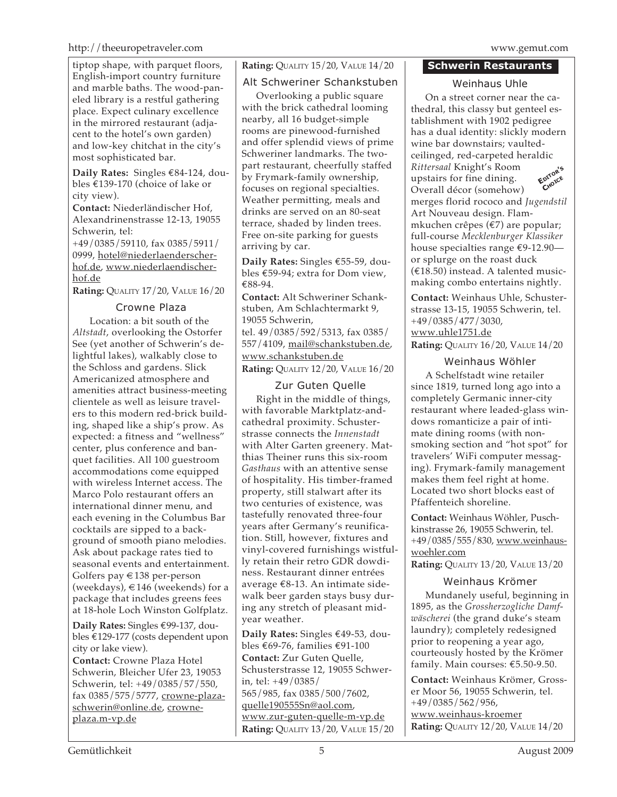#### http://theeuropetraveler.com www.gemut.com

tiptop shape, with parquet floors, English-import country furniture and marble baths. The wood-paneled library is a restful gathering place. Expect culinary excellence in the mirrored restaurant (adjacent to the hotel's own garden) and low-key chitchat in the city's most sophisticated bar.

**Daily Rates:** Singles €84-124, doubles €139-170 (choice of lake or city view).

**Contact:** Niederländischer Hof, Alexandrinenstrasse 12-13, 19055 Schwerin, tel:

+49/0385/59110, fax 0385/5911/ 0999, hotel@niederlaenderscherhof.de, www.niederlaendischerhof.de

**Rating:** QUALITY 17/20, VALUE 16/20

# Crowne Plaza

Location: a bit south of the *Altstadt*, overlooking the Ostorfer See (yet another of Schwerin's delightful lakes), walkably close to the Schloss and gardens. Slick Americanized atmosphere and amenities attract business-meeting clientele as well as leisure travelers to this modern red-brick building, shaped like a ship's prow. As expected: a fitness and "wellness" center, plus conference and banquet facilities. All 100 guestroom accommodations come equipped with wireless Internet access. The Marco Polo restaurant offers an international dinner menu, and each evening in the Columbus Bar cocktails are sipped to a background of smooth piano melodies. Ask about package rates tied to seasonal events and entertainment. Golfers pay €138 per-person (weekdays),  $\in$  146 (weekends) for a package that includes greens fees at 18-hole Loch Winston Golfplatz.

**Daily Rates:** Singles €99-137, doubles €129-177 (costs dependent upon city or lake view).

**Contact:** Crowne Plaza Hotel Schwerin, Bleicher Ufer 23, 19053 Schwerin, tel: +49/0385/57/550, fax 0385/575/5777, crowne-plazaschwerin@online.de, crowneplaza.m-vp.de

**Rating:** QUALITY 15/20, VALUE 14/20

# Alt Schweriner Schankstuben

Overlooking a public square with the brick cathedral looming nearby, all 16 budget-simple rooms are pinewood-furnished and offer splendid views of prime Schweriner landmarks. The twopart restaurant, cheerfully staffed by Frymark-family ownership, focuses on regional specialties. Weather permitting, meals and drinks are served on an 80-seat terrace, shaded by linden trees. Free on-site parking for guests arriving by car.

**Daily Rates:** Singles €55-59, doubles €59-94; extra for Dom view, €88-94.

**Contact:** Alt Schweriner Schankstuben, Am Schlachtermarkt 9, 19055 Schwerin,

tel. 49/0385/592/5313, fax 0385/ 557/4109, mail@schankstuben.de, www.schankstuben.de **Rating:** QUALITY 12/20, VALUE 16/20

# Zur Guten Quelle

Right in the middle of things, with favorable Marktplatz-andcathedral proximity. Schusterstrasse connects the *Innenstadt* with Alter Garten greenery. Matthias Theiner runs this six-room *Gasthaus* with an attentive sense of hospitality. His timber-framed property, still stalwart after its two centuries of existence, was tastefully renovated three-four years after Germany's reunification. Still, however, fixtures and vinyl-covered furnishings wistfully retain their retro GDR dowdiness. Restaurant dinner entrées average €8-13. An intimate sidewalk beer garden stays busy during any stretch of pleasant midyear weather.

**Daily Rates:** Singles €49-53, doubles €69-76, families €91-100 **Contact:** Zur Guten Quelle, Schusterstrasse 12, 19055 Schwerin, tel: +49/0385/ 565/985, fax 0385/500/7602, quelle190555Sn@aol.com, www.zur-guten-quelle-m-vp.de **Rating:** QUALITY 13/20, VALUE 15/20

### **Schwerin Restaurants**

Weinhaus Uhle

**EDITOR'<sup>S</sup> CHOICE** On a street corner near the cathedral, this classy but genteel establishment with 1902 pedigree has a dual identity: slickly modern wine bar downstairs; vaultedceilinged, red-carpeted heraldic *Rittersaal* Knight's Room upstairs for fine dining. Overall décor (somehow) merges florid rococo and *Jugendstil* Art Nouveau design. Flammkuchen crêpes (€7) are popular; full-course *Mecklenburger Klassiker* house specialties range €9-12.90 or splurge on the roast duck (€18.50) instead. <sup>A</sup> talented musicmaking combo entertains nightly.

**Contact:** Weinhaus Uhle, Schusterstrasse 13-15, 19055 Schwerin, tel. +49/0385/477/3030, www.uhle1751.de **Rating:** QUALITY 16/20, VALUE 14/20

# Weinhaus Wöhler

A Schelfstadt wine retailer since 1819, turned long ago into a completely Germanic inner-city restaurant where leaded-glass windows romanticize a pair of intimate dining rooms (with nonsmoking section and "hot spot" for travelers' WiFi computer messaging). Frymark-family management makes them feel right at home. Located two short blocks east of Pfaffenteich shoreline.

**Contact:** Weinhaus Wöhler, Puschkinstrasse 26, 19055 Schwerin, tel. +49/0385/555/830, www.weinhauswoehler.com

**Rating:** QUALITY 13/20, VALUE 13/20

# Weinhaus Krömer

Mundanely useful, beginning in 1895, as the *Grossherzogliche Damfwäscherei* (the grand duke's steam laundry); completely redesigned prior to reopening a year ago, courteously hosted by the Krömer family. Main courses: €5.50-9.50.

**Contact:** Weinhaus Krömer, Grosser Moor 56, 19055 Schwerin, tel. +49/0385/562/956, www.weinhaus-kroemer **Rating:** QUALITY 12/20, VALUE 14/20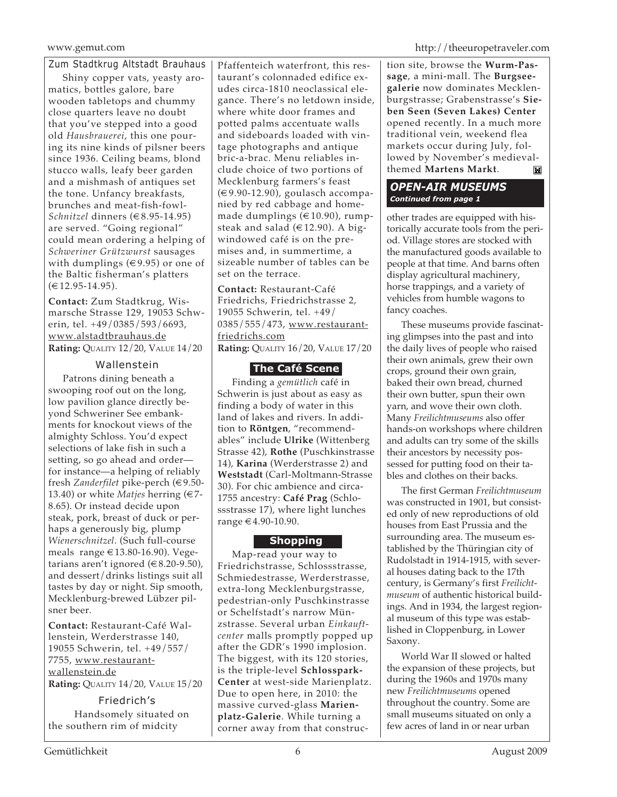Zum Stadtkrug Altstadt Brauhaus

Shiny copper vats, yeasty aromatics, bottles galore, bare wooden tabletops and chummy close quarters leave no doubt that you've stepped into a good old *Hausbrauerei*, this one pouring its nine kinds of pilsner beers since 1936. Ceiling beams, blond stucco walls, leafy beer garden and a mishmash of antiques set the tone. Unfancy breakfasts, brunches and meat-fish-fowl-*Schnitzel* dinners (€8.95-14.95) are served. "Going regional" could mean ordering a helping of *Schweriner Grützwurst* sausages with dumplings ( $\in$ 9.95) or one of the Baltic fisherman's platters  $(€12.95-14.95).$ 

**Contact:** Zum Stadtkrug, Wismarsche Strasse 129, 19053 Schwerin, tel. +49/0385/593/6693, www.alstadtbrauhaus.de **Rating:** QUALITY 12/20, VALUE 14/20

# Wallenstein

Patrons dining beneath a swooping roof out on the long, low pavilion glance directly beyond Schweriner See embankments for knockout views of the almighty Schloss. You'd expect selections of lake fish in such a setting, so go ahead and order for instance—a helping of reliably fresh *Zanderfilet* pike-perch (€9.50- 13.40) or white *Matjes* herring (€7- 8.65). Or instead decide upon steak, pork, breast of duck or perhaps a generously big, plump *Wienerschnitzel*. (Such full-course meals range €13.80-16.90). Vegetarians aren't ignored ( $€8.20-9.50$ ), and dessert/drinks listings suit all tastes by day or night. Sip smooth, Mecklenburg-brewed Lübzer pilsner beer.

**Contact:** Restaurant-Café Wallenstein, Werderstrasse 140, 19055 Schwerin, tel. +49/557/ 7755, www.restaurantwallenstein.de

**Rating:** QUALITY 14/20, VALUE 15/20

Friedrich's Handsomely situated on the southern rim of midcity

Pfaffenteich waterfront, this restaurant's colonnaded edifice exudes circa-1810 neoclassical elegance. There's no letdown inside, where white door frames and potted palms accentuate walls and sideboards loaded with vintage photographs and antique bric-a-brac. Menu reliables include choice of two portions of Mecklenburg farmers's feast (€9.90-12.90), goulasch accompanied by red cabbage and homemade dumplings (€10.90), rumpsteak and salad ( $\in$ 12.90). A bigwindowed café is on the premises and, in summertime, a sizeable number of tables can be set on the terrace.

**Contact:** Restaurant-Café Friedrichs, Friedrichstrasse 2, 19055 Schwerin, tel. +49/ 0385/555/473, www.restaurantfriedrichs.com **Rating:** QUALITY 16/20, VALUE 17/20

# **The Café Scene**

Finding a *gemütlich* café in Schwerin is just about as easy as finding a body of water in this land of lakes and rivers. In addition to **Röntgen**, "recommendables" include **Ulrike** (Wittenberg Strasse 42), **Rothe** (Puschkinstrasse 14), **Karina** (Werderstrasse 2) and **Weststadt** (Carl-Moltmann-Strasse 30). For chic ambience and circa-1755 ancestry: **Café Prag** (Schlossstrasse 17), where light lunches range €4.90-10.90.

# **Shopping**

Map-read your way to Friedrichstrasse, Schlossstrasse, Schmiedestrasse, Werderstrasse, extra-long Mecklenburgstrasse, pedestrian-only Puschkinstrasse or Schelfstadt's narrow Münzstrasse. Several urban *Einkauftcenter* malls promptly popped up after the GDR's 1990 implosion. The biggest, with its 120 stories, is the triple-level **Schlosspark-Center** at west-side Marienplatz. Due to open here, in 2010: the massive curved-glass **Marienplatz-Galerie**. While turning a corner away from that construction site, browse the **Wurm-Passage**, a mini-mall. The **Burgseegalerie** now dominates Mecklenburgstrasse; Grabenstrasse's **Sieben Seen (Seven Lakes) Center** opened recently. In a much more traditional vein, weekend flea markets occur during July, followed by November's medieval-<br>themed **Martens Markt**. themed **Martens Markt**.

# *OPEN-AIR MUSEUMS Continued from page 1*

other trades are equipped with historically accurate tools from the period. Village stores are stocked with the manufactured goods available to people at that time. And barns often display agricultural machinery, horse trappings, and a variety of vehicles from humble wagons to fancy coaches.

These museums provide fascinating glimpses into the past and into the daily lives of people who raised their own animals, grew their own crops, ground their own grain, baked their own bread, churned their own butter, spun their own yarn, and wove their own cloth. Many *Freilichtmuseums* also offer hands-on workshops where children and adults can try some of the skills their ancestors by necessity possessed for putting food on their tables and clothes on their backs.

The first German *Freilichtmuseum* was constructed in 1901, but consisted only of new reproductions of old houses from East Prussia and the surrounding area. The museum established by the Thüringian city of Rudolstadt in 1914-1915, with several houses dating back to the 17th century, is Germany's first *Freilichtmuseum* of authentic historical buildings. And in 1934, the largest regional museum of this type was established in Cloppenburg, in Lower Saxony.

World War II slowed or halted the expansion of these projects, but during the 1960s and 1970s many new *Freilichtmuseums* opened throughout the country. Some are small museums situated on only a few acres of land in or near urban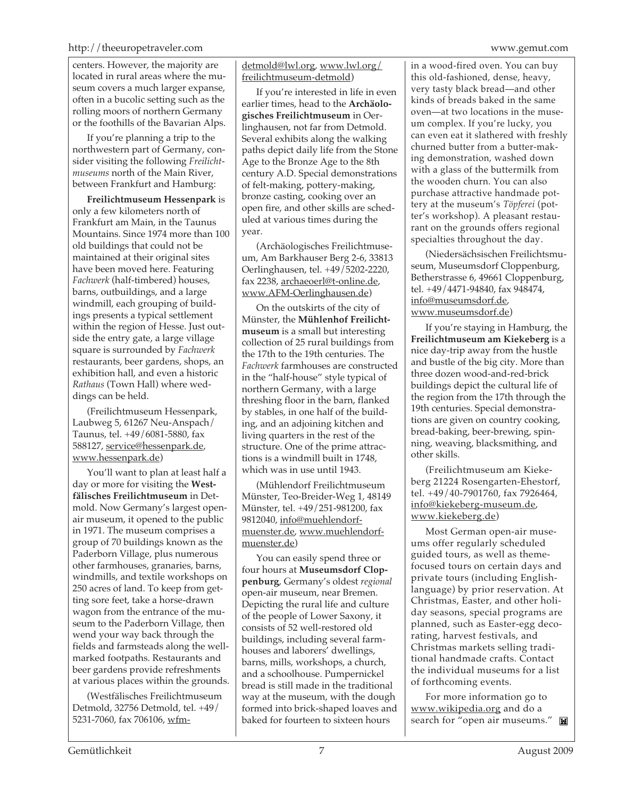centers. However, the majority are located in rural areas where the museum covers a much larger expanse, often in a bucolic setting such as the rolling moors of northern Germany or the foothills of the Bavarian Alps.

If you're planning a trip to the northwestern part of Germany, consider visiting the following *Freilichtmuseums* north of the Main River, between Frankfurt and Hamburg:

**Freilichtmuseum Hessenpark** is only a few kilometers north of Frankfurt am Main, in the Taunus Mountains. Since 1974 more than 100 old buildings that could not be maintained at their original sites have been moved here. Featuring *Fachwerk* (half-timbered) houses, barns, outbuildings, and a large windmill, each grouping of buildings presents a typical settlement within the region of Hesse. Just outside the entry gate, a large village square is surrounded by *Fachwerk* restaurants, beer gardens, shops, an exhibition hall, and even a historic *Rathaus* (Town Hall) where weddings can be held.

(Freilichtmuseum Hessenpark, Laubweg 5, 61267 Neu-Anspach/ Taunus, tel. +49/6081-5880, fax 588127, service@hessenpark.de, www.hessenpark.de)

You'll want to plan at least half a day or more for visiting the **Westfälisches Freilichtmuseum** in Detmold. Now Germany's largest openair museum, it opened to the public in 1971. The museum comprises a group of 70 buildings known as the Paderborn Village, plus numerous other farmhouses, granaries, barns, windmills, and textile workshops on 250 acres of land. To keep from getting sore feet, take a horse-drawn wagon from the entrance of the museum to the Paderborn Village, then wend your way back through the fields and farmsteads along the wellmarked footpaths. Restaurants and beer gardens provide refreshments at various places within the grounds.

(Westfälisches Freilichtmuseum Detmold, 32756 Detmold, tel. +49/ 5231-7060, fax 706106, wfm-

# detmold@lwl.org, www.lwl.org/ freilichtmuseum-detmold)

If you're interested in life in even earlier times, head to the **Archäologisches Freilichtmuseum** in Oerlinghausen, not far from Detmold. Several exhibits along the walking paths depict daily life from the Stone Age to the Bronze Age to the 8th century A.D. Special demonstrations of felt-making, pottery-making, bronze casting, cooking over an open fire, and other skills are scheduled at various times during the year.

(Archäologisches Freilichtmuseum, Am Barkhauser Berg 2-6, 33813 Oerlinghausen, tel. +49/5202-2220, fax 2238, archaeoerl@t-online.de, www.AFM-Oerlinghausen.de)

On the outskirts of the city of Münster, the **Mühlenhof Freilichtmuseum** is a small but interesting collection of 25 rural buildings from the 17th to the 19th centuries. The *Fachwerk* farmhouses are constructed in the "half-house" style typical of northern Germany, with a large threshing floor in the barn, flanked by stables, in one half of the building, and an adjoining kitchen and living quarters in the rest of the structure. One of the prime attractions is a windmill built in 1748, which was in use until 1943.

(Mühlendorf Freilichtmuseum Münster, Teo-Breider-Weg 1, 48149 Münster, tel. +49/251-981200, fax 9812040, info@muehlendorfmuenster.de, www.muehlendorfmuenster.de)

You can easily spend three or four hours at **Museumsdorf Cloppenburg**, Germany's oldest *regional* open-air museum, near Bremen. Depicting the rural life and culture of the people of Lower Saxony, it consists of 52 well-restored old buildings, including several farmhouses and laborers' dwellings, barns, mills, workshops, a church, and a schoolhouse. Pumpernickel bread is still made in the traditional way at the museum, with the dough formed into brick-shaped loaves and baked for fourteen to sixteen hours

in a wood-fired oven. You can buy this old-fashioned, dense, heavy, very tasty black bread—and other kinds of breads baked in the same oven—at two locations in the museum complex. If you're lucky, you can even eat it slathered with freshly churned butter from a butter-making demonstration, washed down with a glass of the buttermilk from the wooden churn. You can also purchase attractive handmade pottery at the museum's *Töpferei* (potter's workshop). A pleasant restaurant on the grounds offers regional specialties throughout the day.

(Niedersächsischen Freilichtsmuseum, Museumsdorf Cloppenburg, Betherstrasse 6, 49661 Cloppenburg, tel. +49/4471-94840, fax 948474, info@museumsdorf.de, www.museumsdorf.de)

If you're staying in Hamburg, the **Freilichtmuseum am Kiekeberg** is a nice day-trip away from the hustle and bustle of the big city. More than three dozen wood-and-red-brick buildings depict the cultural life of the region from the 17th through the 19th centuries. Special demonstrations are given on country cooking, bread-baking, beer-brewing, spinning, weaving, blacksmithing, and other skills.

(Freilichtmuseum am Kiekeberg 21224 Rosengarten-Ehestorf, tel. +49/40-7901760, fax 7926464, info@kiekeberg-museum.de, www.kiekeberg.de)

Most German open-air museums offer regularly scheduled guided tours, as well as themefocused tours on certain days and private tours (including Englishlanguage) by prior reservation. At Christmas, Easter, and other holiday seasons, special programs are planned, such as Easter-egg decorating, harvest festivals, and Christmas markets selling traditional handmade crafts. Contact the individual museums for a list of forthcoming events.

For more information go to www.wikipedia.org and do a search for "open air museums."